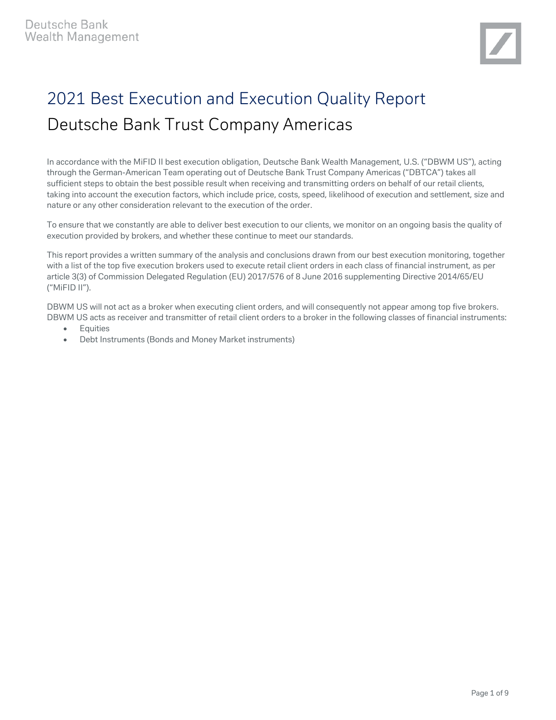# 2021 Best Execution and Execution Quality Report Deutsche Bank Trust Company Americas

In accordance with the MiFID II best execution obligation, Deutsche Bank Wealth Management, U.S. ("DBWM US"), acting through the German-American Team operating out of Deutsche Bank Trust Company Americas ("DBTCA") takes all sufficient steps to obtain the best possible result when receiving and transmitting orders on behalf of our retail clients, taking into account the execution factors, which include price, costs, speed, likelihood of execution and settlement, size and nature or any other consideration relevant to the execution of the order.

To ensure that we constantly are able to deliver best execution to our clients, we monitor on an ongoing basis the quality of execution provided by brokers, and whether these continue to meet our standards.

This report provides a written summary of the analysis and conclusions drawn from our best execution monitoring, together with a list of the top five execution brokers used to execute retail client orders in each class of financial instrument, as per article 3(3) of Commission Delegated Regulation (EU) 2017/576 of 8 June 2016 supplementing Directive 2014/65/EU ("MiFID II").

DBWM US will not act as a broker when executing client orders, and will consequently not appear among top five brokers. DBWM US acts as receiver and transmitter of retail client orders to a broker in the following classes of financial instruments:

- Equities
- Debt Instruments (Bonds and Money Market instruments)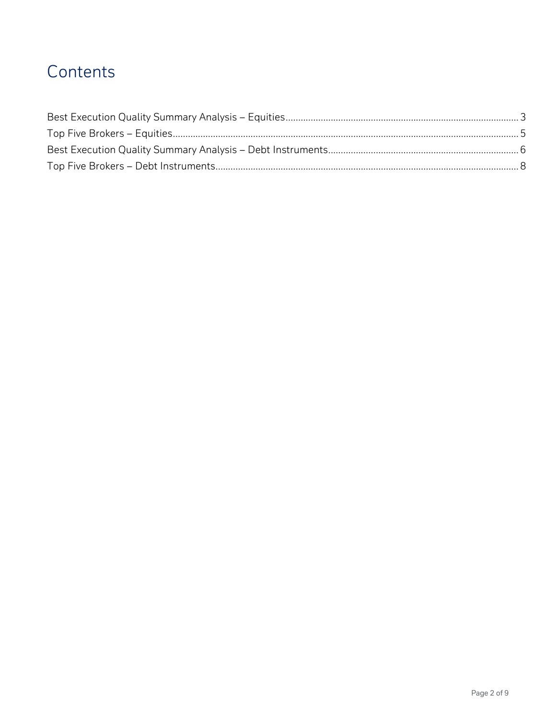## Contents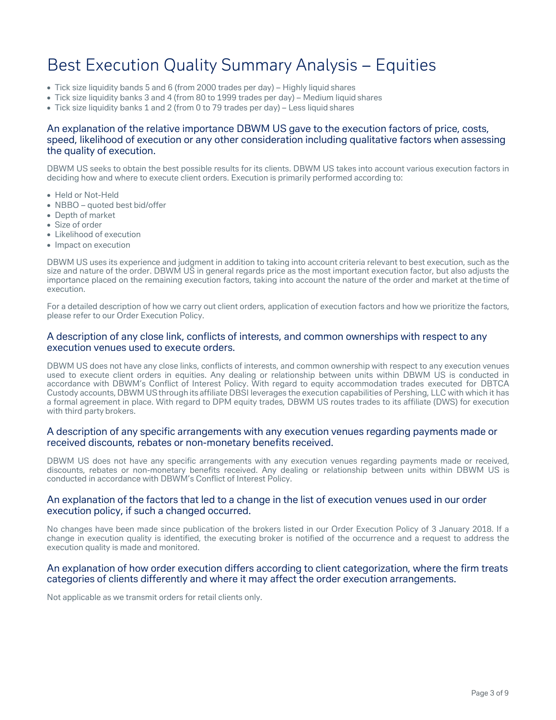## <span id="page-2-0"></span>Best Execution Quality Summary Analysis – Equities

- Tick size liquidity bands 5 and 6 (from 2000 trades per day) Highly liquid shares
- Tick size liquidity banks 3 and 4 (from 80 to 1999 trades per day) Medium liquid shares
- Tick size liquidity banks 1 and 2 (from 0 to 79 trades per day) Less liquid shares

## An explanation of the relative importance DBWM US gave to the execution factors of price, costs, speed, likelihood of execution or any other consideration including qualitative factors when assessing the quality of execution.

DBWM US seeks to obtain the best possible results for its clients. DBWM US takes into account various execution factors in deciding how and where to execute client orders. Execution is primarily performed according to:

- Held or Not-Held
- NBBO quoted best bid/offer
- Depth of market
- Size of order
- Likelihood of execution
- Impact on execution

DBWM US uses its experience and judgment in addition to taking into account criteria relevant to best execution, such as the size and nature of the order. DBWM US in general regards price as the most important execution factor, but also adjusts the importance placed on the remaining execution factors, taking into account the nature of the order and market at the time of execution.

For a detailed description of how we carry out client orders, application of execution factors and how we prioritize the factors, please refer to our Order Execution Policy.

### A description of any close link, conflicts of interests, and common ownerships with respect to any execution venues used to execute orders.

DBWM US does not have any close links, conflicts of interests, and common ownership with respect to any execution venues used to execute client orders in equities. Any dealing or relationship between units within DBWM US is conducted in accordance with DBWM's Conflict of Interest Policy. With regard to equity accommodation trades executed for DBTCA Custody accounts, DBWMUSthrough its affiliate DBSI leverages the execution capabilities of Pershing, LLC with which it has a formal agreement in place. With regard to DPM equity trades, DBWM US routes trades to its affiliate (DWS) for execution with third party brokers.

## A description of any specific arrangements with any execution venues regarding payments made or received discounts, rebates or non-monetary benefits received.

DBWM US does not have any specific arrangements with any execution venues regarding payments made or received, discounts, rebates or non-monetary benefits received. Any dealing or relationship between units within DBWM US is conducted in accordance with DBWM's Conflict of Interest Policy.

## An explanation of the factors that led to a change in the list of execution venues used in our order execution policy, if such a changed occurred.

No changes have been made since publication of the brokers listed in our Order Execution Policy of 3 January 2018. If a change in execution quality is identified, the executing broker is notified of the occurrence and a request to address the execution quality is made and monitored.

#### An explanation of how order execution differs according to client categorization, where the firm treats categories of clients differently and where it may affect the order execution arrangements.

Not applicable as we transmit orders for retail clients only.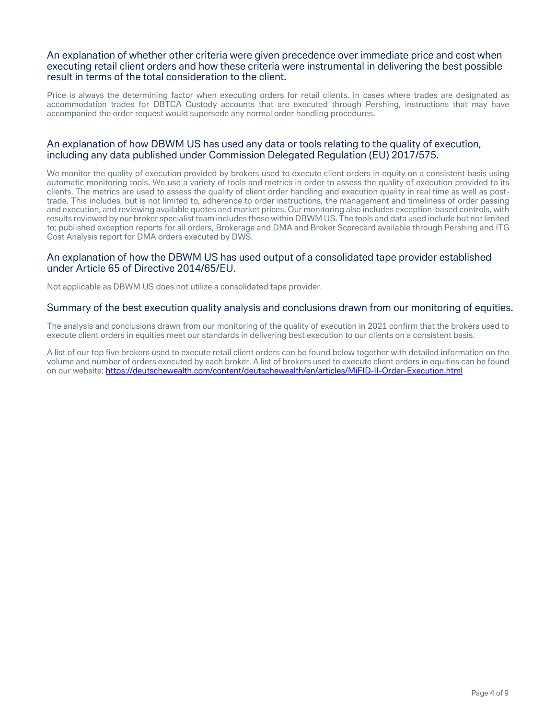## An explanation of whether other criteria were given precedence over immediate price and cost when executing retail client orders and how these criteria were instrumental in delivering the best possible result in terms of the total consideration to the client.

Price is always the determining factor when executing orders for retail clients. In cases where trades are designated as accommodation trades for DBTCA Custody accounts that are executed through Pershing, instructions that may have accompanied the order request would supersede any normal order handling procedures.

## An explanation of how DBWM US has used any data or tools relating to the quality of execution, including any data published under Commission Delegated Regulation (EU) 2017/575.

We monitor the quality of execution provided by brokers used to execute client orders in equity on a consistent basis using automatic monitoring tools. We use a variety of tools and metrics in order to assess the quality of execution provided to its clients. The metrics are used to assess the quality of client order handling and execution quality in real time as well as posttrade. This includes, but is not limited to, adherence to order instructions, the management and timeliness of order passing and execution, and reviewing available quotes and market prices. Our monitoring also includes exception-based controls, with results reviewed by our broker specialist team includes those within DBWM US. The tools and data used include but not limited to; published exception reports for all orders, Brokerage and DMA and Broker Scorecard available through Pershing and ITG Cost Analysis report for DMA orders executed by DWS.

## An explanation of how the DBWM US has used output of a consolidated tape provider established under Article 65 of Directive 2014/65/EU.

Not applicable as DBWM US does not utilize a consolidated tape provider.

## Summary of the best execution quality analysis and conclusions drawn from our monitoring of equities.

The analysis and conclusions drawn from our monitoring of the quality of execution in 2021 confirm that the brokers used to execute client orders in equities meet our standards in delivering best execution to our clients on a consistent basis.

A list of our top five brokers used to execute retail client orders can be found below together with detailed information on the volume and number of orders executed by each broker. A list of brokers used to execute client orders in equities can be found on our website[: https://deutschewealth.com/content/deutschewealth/en/articles/MiFID-II-Order-Execution.html](https://deutschewealth.com/content/deutschewealth/en/articles/MiFID-II-Order-Execution.html)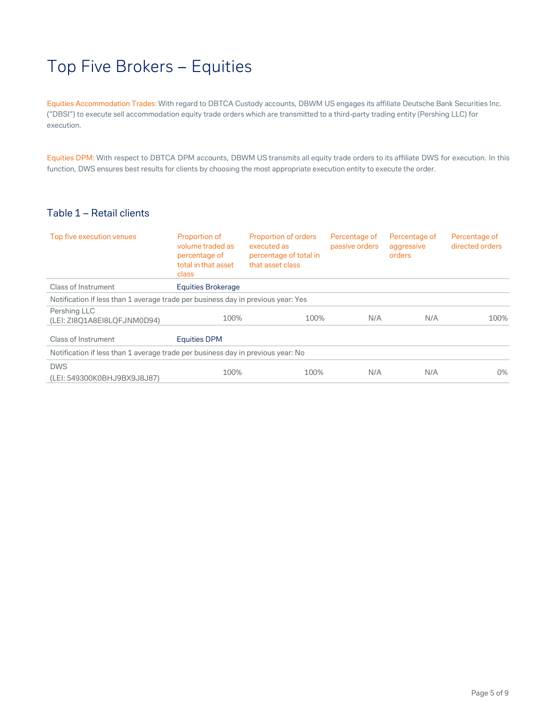## <span id="page-4-0"></span>Top Five Brokers – Equities

Equities Accommodation Trades: With regard to DBTCA Custody accounts, DBWM US engages its affiliate Deutsche Bank Securities Inc. ("DBSI") to execute sell accommodation equity trade orders which are transmitted to a third-party trading entity (Pershing LLC) for execution.

Equities DPM: With respect to DBTCA DPM accounts, DBWM US transmits all equity trade orders to its affiliate DWS for execution. In this function, DWS ensures best results for clients by choosing the most appropriate execution entity to execute the order.

## Table 1 – Retail clients

| Top five execution venues                                                        | Proportion of<br>volume traded as<br>percentage of<br>total in that asset<br>class | Proportion of orders<br>executed as<br>percentage of total in<br>that asset class | Percentage of<br>passive orders | Percentage of<br>aggressive<br>orders | Percentage of<br>directed orders |  |  |
|----------------------------------------------------------------------------------|------------------------------------------------------------------------------------|-----------------------------------------------------------------------------------|---------------------------------|---------------------------------------|----------------------------------|--|--|
| Class of Instrument                                                              | Equities Brokerage                                                                 |                                                                                   |                                 |                                       |                                  |  |  |
| Notification if less than 1 average trade per business day in previous year: Yes |                                                                                    |                                                                                   |                                 |                                       |                                  |  |  |
| Pershing LLC<br>(LEI: ZI8O1A8EI8LOFJNM0D94)                                      | 100%                                                                               | 100%                                                                              | N/A                             | N/A                                   | 100%                             |  |  |
| Class of Instrument                                                              | <b>Equities DPM</b>                                                                |                                                                                   |                                 |                                       |                                  |  |  |
| Notification if less than 1 average trade per business day in previous year: No  |                                                                                    |                                                                                   |                                 |                                       |                                  |  |  |
| <b>DWS</b><br>(LEI: 549300K0BHJ9BX9J8J87)                                        | 100%                                                                               | 100%                                                                              | N/A                             | N/A                                   | $0\%$                            |  |  |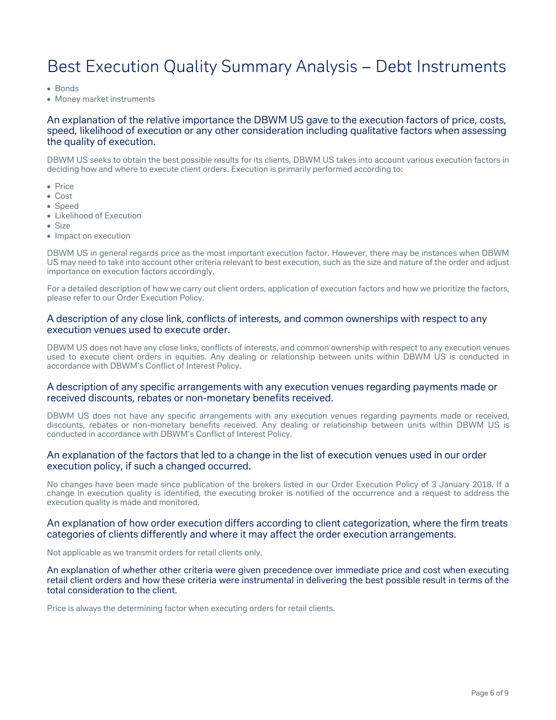## <span id="page-5-0"></span>Best Execution Quality Summary Analysis – Debt Instruments

• Bonds

• Money market instruments

## An explanation of the relative importance the DBWM US gave to the execution factors of price, costs, speed, likelihood of execution or any other consideration including qualitative factors when assessing the quality of execution.

DBWM US seeks to obtain the best possible results for its clients, DBWM US takes into account various execution factors in deciding how and where to execute client orders. Execution is primarily performed according to:

- Price
- Cost
- Speed
- Likelihood of Execution
- Size
- Impact on execution

DBWM US in general regards price as the most important execution factor. However, there may be instances when DBWM US may need to take into account other criteria relevant to best execution, such as the size and nature of the order and adjust importance on execution factors accordingly.

For a detailed description of how we carry out client orders, application of execution factors and how we prioritize the factors, please refer to our Order Execution Policy.

## A description of any close link, conflicts of interests, and common ownerships with respect to any execution venues used to execute order.

DBWM US does not have any close links, conflicts of interests, and common ownership with respect to any execution venues used to execute client orders in equities. Any dealing or relationship between units within DBWM US is conducted in accordance with DBWM's Conflict of Interest Policy.

## A description of any specific arrangements with any execution venues regarding payments made or received discounts, rebates or non-monetary benefits received.

DBWM US does not have any specific arrangements with any execution venues regarding payments made or received, discounts, rebates or non-monetary benefits received. Any dealing or relationship between units within DBWM US is conducted in accordance with DBWM's Conflict of Interest Policy.

## An explanation of the factors that led to a change in the list of execution venues used in our order execution policy, if such a changed occurred.

No changes have been made since publication of the brokers listed in our Order Execution Policy of 3 January 2018. If a change in execution quality is identified, the executing broker is notified of the occurrence and a request to address the execution quality is made and monitored.

## An explanation of how order execution differs according to client categorization, where the firm treats categories of clients differently and where it may affect the order execution arrangements.

Not applicable as we transmit orders for retail clients only.

An explanation of whether other criteria were given precedence over immediate price and cost when executing retail client orders and how these criteria were instrumental in delivering the best possible result in terms of the total consideration to the client.

Price is always the determining factor when executing orders for retail clients.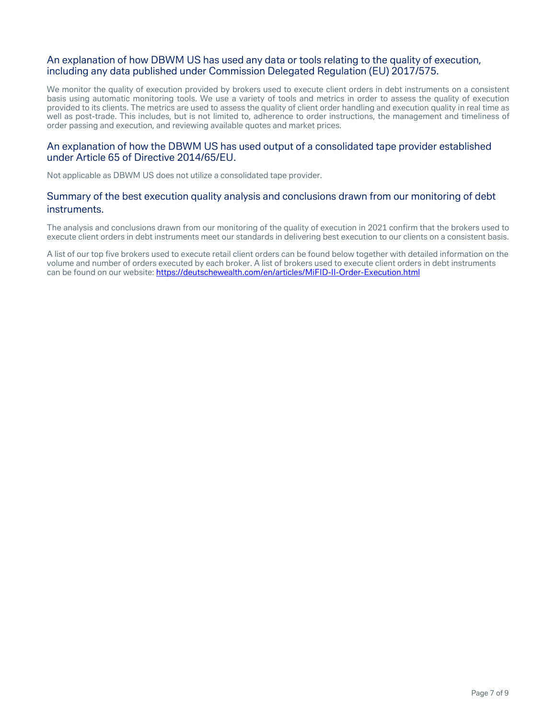## An explanation of how DBWM US has used any data or tools relating to the quality of execution, including any data published under Commission Delegated Regulation (EU) 2017/575.

We monitor the quality of execution provided by brokers used to execute client orders in debt instruments on a consistent basis using automatic monitoring tools. We use a variety of tools and metrics in order to assess the quality of execution provided to its clients. The metrics are used to assess the quality of client order handling and execution quality in real time as well as post-trade. This includes, but is not limited to, adherence to order instructions, the management and timeliness of order passing and execution, and reviewing available quotes and market prices.

## An explanation of how the DBWM US has used output of a consolidated tape provider established under Article 65 of Directive 2014/65/EU.

Not applicable as DBWM US does not utilize a consolidated tape provider.

## Summary of the best execution quality analysis and conclusions drawn from our monitoring of debt instruments.

The analysis and conclusions drawn from our monitoring of the quality of execution in 2021 confirm that the brokers used to execute client orders in debt instruments meet our standards in delivering best execution to our clients on a consistent basis.

A list of our top five brokers used to execute retail client orders can be found below together with detailed information on the volume and number of orders executed by each broker. A list of brokers used to execute client orders in debt instruments can be found on our website:<https://deutschewealth.com/en/articles/MiFID-II-Order-Execution.html>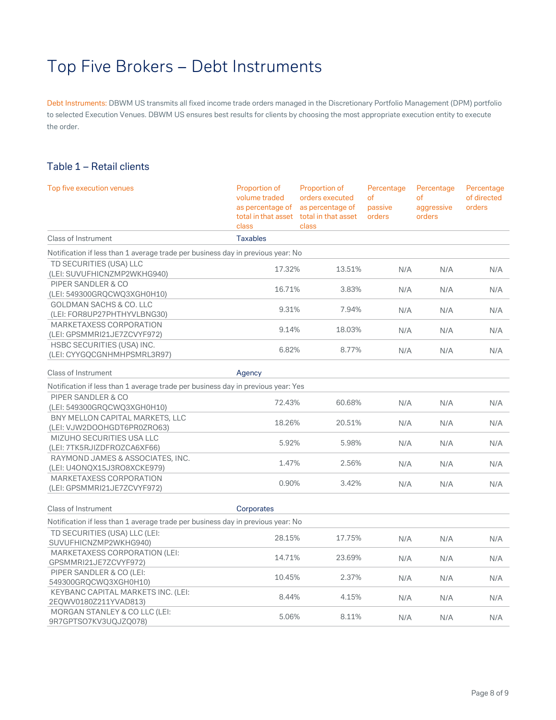## <span id="page-7-0"></span>Top Five Brokers – Debt Instruments

Debt Instruments: DBWM US transmits all fixed income trade orders managed in the Discretionary Portfolio Management (DPM) portfolio to selected Execution Venues. DBWM US ensures best results for clients by choosing the most appropriate execution entity to execute the order.

## Table 1 – Retail clients

| Top five execution venues                                                        | Proportion of<br>volume traded<br>as percentage of<br>total in that asset<br>class | Proportion of<br>orders executed<br>as percentage of<br>total in that asset<br>class | Percentage<br><sub>of</sub><br>passive<br>orders | Percentage<br>of<br>aggressive<br>orders | Percentage<br>of directed<br>orders |
|----------------------------------------------------------------------------------|------------------------------------------------------------------------------------|--------------------------------------------------------------------------------------|--------------------------------------------------|------------------------------------------|-------------------------------------|
| <b>Class of Instrument</b>                                                       | <b>Taxables</b>                                                                    |                                                                                      |                                                  |                                          |                                     |
| Notification if less than 1 average trade per business day in previous year: No  |                                                                                    |                                                                                      |                                                  |                                          |                                     |
| TD SECURITIES (USA) LLC<br>(LEI: SUVUFHICNZMP2WKHG940)                           | 17.32%                                                                             | 13.51%                                                                               | N/A                                              | N/A                                      | N/A                                 |
| PIPER SANDLER & CO<br>(LEI: 549300GRQCWQ3XGH0H10)                                | 16.71%                                                                             | 3.83%                                                                                | N/A                                              | N/A                                      | N/A                                 |
| GOLDMAN SACHS & CO. LLC<br>(LEI: FOR8UP27PHTHYVLBNG30)                           | 9.31%                                                                              | 7.94%                                                                                | N/A                                              | N/A                                      | N/A                                 |
| MARKETAXESS CORPORATION<br>(LEI: GPSMMRI21JE7ZCVYF972)                           | 9.14%                                                                              | 18.03%                                                                               | N/A                                              | N/A                                      | N/A                                 |
| HSBC SECURITIES (USA) INC.<br>(LEI: CYYGQCGNHMHPSMRL3R97)                        | 6.82%                                                                              | 8.77%                                                                                | N/A                                              | N/A                                      | N/A                                 |
| Class of Instrument                                                              | Agency                                                                             |                                                                                      |                                                  |                                          |                                     |
| Notification if less than 1 average trade per business day in previous year: Yes |                                                                                    |                                                                                      |                                                  |                                          |                                     |
| PIPER SANDLER & CO<br>(LEI: 549300GRQCWQ3XGH0H10)                                | 72.43%                                                                             | 60.68%                                                                               | N/A                                              | N/A                                      | N/A                                 |
| BNY MELLON CAPITAL MARKETS, LLC<br>(LEI: VJW2DOOHGDT6PR0ZRO63)                   | 18.26%                                                                             | 20.51%                                                                               | N/A                                              | N/A                                      | N/A                                 |
| MIZUHO SECURITIES USA LLC<br>(LEI: 7TK5RJIZDFROZCA6XF66)                         | 5.92%                                                                              | 5.98%                                                                                | N/A                                              | N/A                                      | N/A                                 |
| RAYMOND JAMES & ASSOCIATES, INC.<br>(LEI: U4ONQX15J3RO8XCKE979)                  | 1.47%                                                                              | 2.56%                                                                                | N/A                                              | N/A                                      | N/A                                 |
| MARKETAXESS CORPORATION<br>(LEI: GPSMMRI21JE7ZCVYF972)                           | 0.90%                                                                              | 3.42%                                                                                | N/A                                              | N/A                                      | N/A                                 |
| <b>Class of Instrument</b>                                                       | Corporates                                                                         |                                                                                      |                                                  |                                          |                                     |
| Notification if less than 1 average trade per business day in previous year: No  |                                                                                    |                                                                                      |                                                  |                                          |                                     |
| TD SECURITIES (USA) LLC (LEI:<br>SUVUFHICNZMP2WKHG940)                           | 28.15%                                                                             | 17.75%                                                                               | N/A                                              | N/A                                      | N/A                                 |
| MARKETAXESS CORPORATION (LEI:<br>GPSMMRI21JE7ZCVYF972)                           | 14.71%                                                                             | 23.69%                                                                               | N/A                                              | N/A                                      | N/A                                 |
| PIPER SANDLER & CO (LEI:<br>549300GRQCWQ3XGH0H10)                                | 10.45%                                                                             | 2.37%                                                                                | N/A                                              | N/A                                      | N/A                                 |
| KEYBANC CAPITAL MARKETS INC. (LEI:<br>2EQWV0180Z211YVAD813)                      | 8.44%                                                                              | 4.15%                                                                                | N/A                                              | N/A                                      | N/A                                 |
| MORGAN STANLEY & CO LLC (LEI:<br>9R7GPTSO7KV3UQJZQ078)                           | 5.06%                                                                              | 8.11%                                                                                | N/A                                              | N/A                                      | N/A                                 |